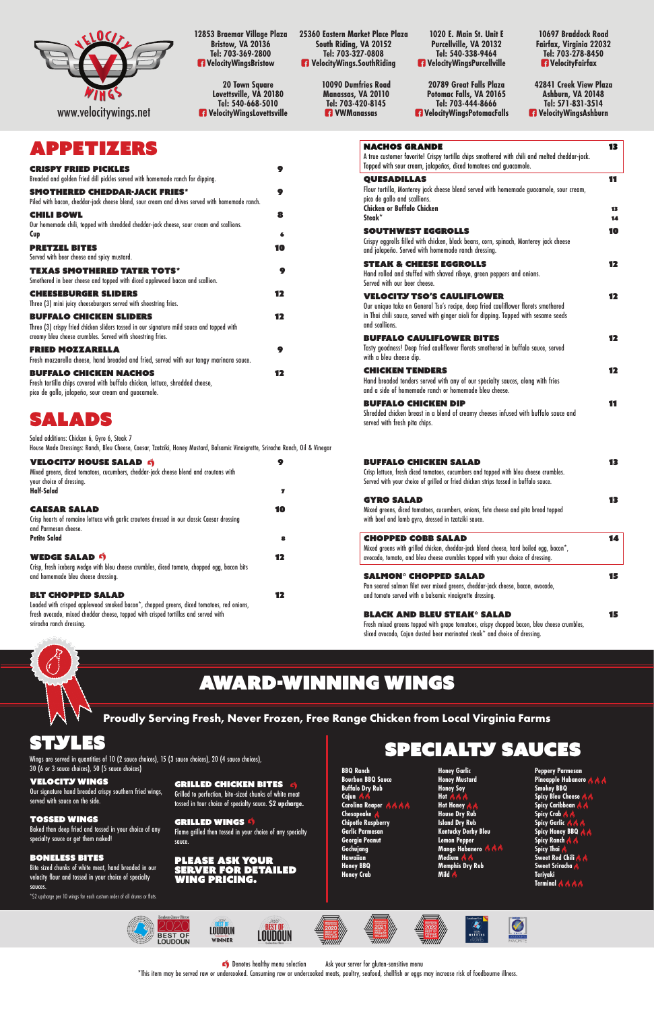**12853 Braemar Village Plaza Bristow, VA 20136 Tel: 703-369-2800 VelocityWingsBristow**

> **10090 Dumfries Road Manassas, VA 20110 Tel: 703-420-8145 R** VWManassas

**20 Town Square Lovettsville, VA 20180 Tel: 540-668-5010 VelocityWingsLovettsville**

**1020 E. Main St. Unit E Purcellville, VA 20132 Tel: 540-338-9464 VelocityWingsPurcellville**

**20789 Great Falls Plaza Potomac Falls, VA 20165 Tel: 703-444-8666 VelocityWingsPotomacFalls**

**25360 Eastern Market Place Plaza South Riding, VA 20152 Tel: 703-327-0808 VelocityWings.SouthRiding**



## APPETIZERS

| <b>CRISPY FRIED PICKLES</b><br>Breaded and golden fried dill pickles served with homemade ranch for dipping.                                                                              | 9      |
|-------------------------------------------------------------------------------------------------------------------------------------------------------------------------------------------|--------|
| <b>SMOTHERED CHEDDAR-JACK FRIES*</b><br>Piled with bacon, cheddar-jack cheese blend, sour cream and chives served with homemade ranch.                                                    | 9      |
| <b>CHILI BOWL</b><br>Our homemade chili, topped with shredded cheddar-jack cheese, sour cream and scallions.<br>Cup                                                                       | 8<br>6 |
| <b>PRETZEL BITES</b><br>Served with beer cheese and spicy mustard.                                                                                                                        | 10     |
| <b>TEXAS SMOTHERED TATER TOTS*</b><br>Smothered in beer cheese and topped with diced applewood bacon and scallion.                                                                        | 9      |
| <b>CHEESEBURGER SLIDERS</b><br>Three (3) mini juicy cheeseburgers served with shoestring fries.                                                                                           | 12     |
| <b>BUFFALO CHICKEN SLIDERS</b><br>Three (3) crispy fried chicken sliders tossed in our signature mild sauce and topped with<br>creamy bleu cheese crumbles. Served with shoestring fries. | 12     |
| <b>FRIED MOZZARELLA</b><br>Fresh mozzarella cheese, hand breaded and fried, served with our tangy marinara sauce.                                                                         | 9      |
| <b>BUFFALO CHICKEN NACHOS</b><br>Fresh tortilla chips covered with buffalo chicken, lettuce, shredded cheese,<br>pico de gallo, jalapeño, sour cream and guacamole.                       | 12     |

Our signature hand breaded crispy southern fried wings, served with sauce on the side.

**Peppery Parmesan Pineapple Habanero Smokey BBQ** Spicy Bleu Cheese **A Spicy Caribbean Spicy Crab Spicy Garlic Spicy Honey BBQ Spicy Ranch Spicy Thai Sweet Red Chili & & Sweet Sriracha Teriyaki Terminal A** A A



**Honey Garlic Honey Mustard Honey Soy Hot Hot Honey House Dry Rub Island Dry Rub Kentucky Derby Bleu Lemon Pepper Mango Habanero Medium Memphis Dry Rub Mild** 

| <b>APPETIZERS</b>                                                                                                                                                                                                       |        | <b>NACHOS GRANDE</b><br>A true customer favorite! Crispy tortilla chips smothered with chili and melted cheddar-jack.                                                                                          | 13       |
|-------------------------------------------------------------------------------------------------------------------------------------------------------------------------------------------------------------------------|--------|----------------------------------------------------------------------------------------------------------------------------------------------------------------------------------------------------------------|----------|
| <b>CRISPY FRIED PICKLES</b>                                                                                                                                                                                             | 9      | Topped with sour cream, jalapeños, diced tomatoes and guacamole.                                                                                                                                               |          |
| Breaded and golden fried dill pickles served with homemade ranch for dipping.<br><b>SMOTHERED CHEDDAR-JACK FRIES*</b><br>Piled with bacon, cheddar-jack cheese blend, sour cream and chives served with homemade ranch. | 9      | <b>QUESADILLAS</b><br>Flour tortilla, Monterey jack cheese blend served with homemade guacamole, sour cream,<br>pico de gallo and scallions.                                                                   | 11       |
| CHILI BOWL                                                                                                                                                                                                              | 8      | <b>Chicken or Buffalo Chicken</b><br>Steak*                                                                                                                                                                    | 13<br>14 |
| Our homemade chili, topped with shredded cheddar-jack cheese, sour cream and scallions.<br>Cup                                                                                                                          |        | <b>SOUTHWEST EGGROLLS</b>                                                                                                                                                                                      | 10       |
| <b>PRETZEL BITES</b><br>Served with beer cheese and spicy mustard.                                                                                                                                                      | 10     | Crispy eggrolls filled with chicken, black beans, corn, spinach, Monterey jack cheese<br>and jalapeño. Served with homemade ranch dressing.                                                                    |          |
| <b>TEXAS SMOTHERED TATER TOTS*</b><br>Smothered in beer cheese and topped with diced applewood bacon and scallion.                                                                                                      | 9      | <b>STEAK &amp; CHEESE EGGROLLS</b><br>Hand rolled and stuffed with shaved ribeye, green peppers and onions.<br>Served with our beer cheese.                                                                    | 12       |
| <b>CHEESEBURGER SLIDERS</b><br>Three (3) mini juicy cheeseburgers served with shoestring fries.                                                                                                                         | 12     | <b>VELOCITY TSO'S CAULIFLOWER</b><br>Our unique take on General Tso's recipe, deep fried cauliflower florets smothered                                                                                         | 12       |
| <b>BUFFALO CHICKEN SLIDERS</b><br>Three (3) crispy fried chicken sliders tossed in our signature mild sauce and topped with                                                                                             | 12     | in Thai chili sauce, served with ginger aioli for dipping. Topped with sesame seeds<br>and scallions.                                                                                                          |          |
| creamy bleu cheese crumbles. Served with shoestring fries.                                                                                                                                                              |        | <b>BUFFALO CAULIFLOWER BITES</b>                                                                                                                                                                               | 12       |
| FRIED MOZZARELLA<br>Fresh mozzarella cheese, hand breaded and fried, served with our tangy marinara sauce.                                                                                                              | 9      | Tasty goodness! Deep fried cauliflower florets smothered in buffalo sauce, served<br>with a bleu cheese dip.                                                                                                   |          |
| <b>BUFFALO CHICKEN NACHOS</b><br>Fresh tortilla chips covered with buffalo chicken, lettuce, shredded cheese,<br>pico de gallo, jalapeño, sour cream and guacamole.                                                     | 12     | <b>CHICKEN TENDERS</b><br>Hand breaded tenders served with any of our specialty sauces, along with fries<br>and a side of homemade ranch or homemade bleu cheese.                                              | 12       |
| SALADS                                                                                                                                                                                                                  |        | <b>BUFFALO CHICKEN DIP</b><br>Shredded chicken breast in a blend of creamy cheeses infused with buffalo sauce and<br>served with fresh pita chips.                                                             | 11       |
| Salad additions: Chicken 6, Gyro 6, Steak 7<br>House Made Dressings: Ranch, Bleu Cheese, Caesar, Tzatziki, Honey Mustard, Balsamic Vinaigrette, Sriracha Ranch, Oil & Vinegar                                           |        |                                                                                                                                                                                                                |          |
| <b>VELOCITY HOUSE SALAD 6</b><br>Mixed greens, diced tomatoes, cucumbers, cheddar-jack cheese blend and croutons with<br>your choice of dressing.<br><b>Half-Salad</b>                                                  | 9<br>7 | <b>BUFFALO CHICKEN SALAD</b><br>Crisp lettuce, fresh diced tomatoes, cucumbers and topped with bleu cheese crumbles.<br>Served with your choice of grilled or fried chicken strips tossed in buffalo sauce.    | 13       |
| <b>CAESAR SALAD</b><br>Crisp hearts of romaine lettuce with garlic croutons dressed in our classic Caesar dressing<br>and Parmesan cheese.                                                                              | 10     | <b>GYRO SALAD</b><br>Mixed greens, diced tomatoes, cucumbers, onions, feta cheese and pita bread topped<br>with beef and lamb gyro, dressed in tzatziki sauce.                                                 | 13       |
| <b>Petite Salad</b>                                                                                                                                                                                                     | 8      | <b>CHOPPED COBB SALAD</b><br>Mixed greens with grilled chicken, cheddar-jack blend cheese, hard boiled egg, bacon*,                                                                                            | 14       |
| <b>WEDGE SALAD 9</b><br>Crisp, fresh iceberg wedge with bleu cheese crumbles, diced tomato, chopped egg, bacon bits                                                                                                     | 12     | avocado, tomato, and bleu cheese crumbles topped with your choice of dressing.                                                                                                                                 |          |
| and homemade bleu cheese dressing.                                                                                                                                                                                      |        | <b>SALMON<sup>®</sup> CHOPPED SALAD</b>                                                                                                                                                                        | 15       |
| <b>BLT CHOPPED SALAD</b>                                                                                                                                                                                                | 12     | Pan seared salmon filet over mixed greens, cheddar-jack cheese, bacon, avocado,<br>and tomato served with a balsamic vinaigrette dressing.                                                                     |          |
| Loaded with crisped applewood smoked bacon*, chopped greens, diced tomatoes, red onions,<br>fresh avocado, mixed cheddar cheese, topped with crisped tortillas and served with<br>sriracha ranch dressing.              |        | <b>BLACK AND BLEU STEAK® SALAD</b><br>Fresh mixed greens topped with grape tomatoes, crispy chopped bacon, bleu cheese crumbles,<br>sliced avocado, Cajun dusted beer marinated steak* and choice of dressing. | 15       |

 $\leftrightarrow$  Denotes healthy menu selection Ask your server for gluten-sensitive menu \*This item may be served raw or undercooked. Consuming raw or undercooked meats, poultry, seafood, shellfish or eggs may increase risk of foodbourne illness.

| <b>VELOCITY HOUSE SALAD 6</b><br>Mixed greens, diced tomatoes, cucumbers, cheddar-jack cheese blend and croutons with<br>your choice of dressing.<br>Half-Salad                                                                        | O<br>7 |
|----------------------------------------------------------------------------------------------------------------------------------------------------------------------------------------------------------------------------------------|--------|
|                                                                                                                                                                                                                                        |        |
| <b>CAESAR SALAD</b><br>Crisp hearts of romaine lettuce with garlic croutons dressed in our classic Caesar dressing<br>and Parmesan cheese.                                                                                             | 10     |
| <b>Petite Salad</b>                                                                                                                                                                                                                    | 8      |
| <b>WEDGE SALAD 9</b><br>Crisp, fresh iceberg wedge with bleu cheese crumbles, diced tomato, chopped egg, bacon bits<br>and homemade blev cheese dressing.                                                                              | 17     |
| <b>BLT CHOPPED SALAD</b><br>Loaded with crisped applewood smoked bacon*, chopped greens, diced tomatoes, red onions,<br>fresh avocado, mixed cheddar cheese, topped with crisped tortillas and served with<br>sriracha ranch dressing. |        |

# Award-Winning Wings

**Proudly Serving Fresh, Never Frozen, Free Range Chicken from Local Virginia Farms**

### STYLES

### Velocity Wings

### Tossed Wings

Baked then deep fried and tossed in your choice of any specialty sauce or get them naked!

#### Boneless Bites

Bite sized chunks of white meat, hand breaded in our velocity flour and tossed in your choice of specialty sauces.

Grilled to perfection, bite-sized chunks of white meat tossed in tour choice of specialty sauce. **\$2 upcharge.**

Grilled Wings Flame grilled then tossed in your choice of any specialty sauce.

#### Please ask your server for detailed wing pricing.

### Specialty Sauces

**BBQ Ranch Bourbon BBQ Sauce Buffalo Dry Rub Cajun Carolina Reaper <b>b d d Chesapeake Chipotle Raspberry Garlic Parmesan Georgia Peanut Gochujang Hawaiian Honey BBQ Honey Crab**

\*\$2 upcharge per 10 wings for each custom order of all drums or flats.

### GRILLED CHICKEN BITES

**10697 Braddock Road Fairfax, Virginia 22032 Tel: 703-278-8450 VelocityFairfax**

**42841 Creek View Plaza Ashburn, VA 20148 Tel: 571-831-3514 VelocityWingsAshburn**

Wings are served in quantities of 10 (2 sauce choices), 15 (3 sauce choices), 20 (4 sauce choices), 30 (6 or 3 sauce choices), 50 (5 sauce choices)